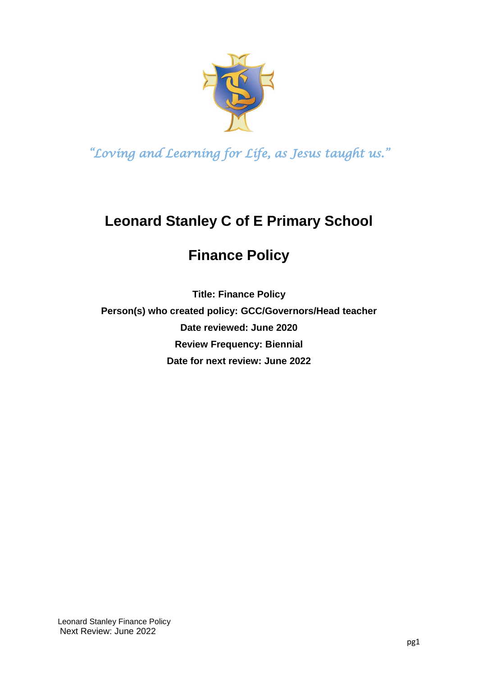

# **Leonard Stanley C of E Primary School**

## **Finance Policy**

**Title: Finance Policy Person(s) who created policy: GCC/Governors/Head teacher Date reviewed: June 2020 Review Frequency: Biennial Date for next review: June 2022**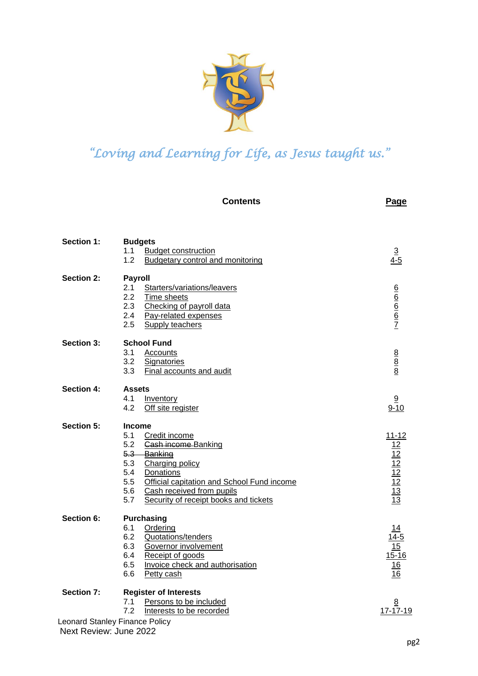

|                   | <b>Contents</b>                                                                                                                                                                                                                                                                  | <b>Page</b>                                                        |
|-------------------|----------------------------------------------------------------------------------------------------------------------------------------------------------------------------------------------------------------------------------------------------------------------------------|--------------------------------------------------------------------|
| <b>Section 1:</b> | <b>Budgets</b><br>1.1<br><b>Budget construction</b><br>1.2<br><b>Budgetary control and monitoring</b>                                                                                                                                                                            | $\frac{3}{4-5}$                                                    |
| <b>Section 2:</b> | <b>Payroll</b><br>2.1<br>Starters/variations/leavers<br>2.2<br>Time sheets<br>2.3<br>Checking of payroll data<br>2.4<br>Pay-related expenses<br>2.5<br>Supply teachers                                                                                                           | $rac{6}{6}$ $rac{6}{6}$ $rac{6}{7}$                                |
| <b>Section 3:</b> | <b>School Fund</b><br>3.1<br>Accounts<br>3.2<br><b>Signatories</b><br>3.3<br>Final accounts and audit                                                                                                                                                                            | $\frac{8}{8}$                                                      |
| <b>Section 4:</b> | <b>Assets</b><br>4.1<br>Inventory<br>4.2<br>Off site register                                                                                                                                                                                                                    | 9<br>$9 - 10$                                                      |
| <b>Section 5:</b> | <b>Income</b><br>5.1<br>Credit income<br>5.2<br><b>Cash income Banking</b><br>5.3 Banking<br>5.3<br>Charging policy<br>5.4<br>Donations<br>Official capitation and School Fund income<br>5.5<br>5.6<br>Cash received from pupils<br>5.7<br>Security of receipt books and tickets | $\frac{11-12}{12}$ $\frac{12}{12}$ $\frac{12}{12}$ $\frac{12}{13}$ |
| <b>Section 6:</b> | <b>Purchasing</b><br>6.1<br>Ordering<br>6.2<br>Quotations/tenders<br>6.3<br>Governor involvement<br>Receipt of goods<br>6.4<br>6.5<br>Invoice check and authorisation<br>6.6<br>Petty cash                                                                                       | $15 - 16$<br><u> 16</u><br>16                                      |
| Section 7:        | <b>Register of Interests</b><br>Persons to be included<br>7.1<br>7.2<br>Interests to be recorded<br>Leonard Stanley Finance Policy                                                                                                                                               | $\overline{8}$<br>17-17-19                                         |

Next Review: June 2022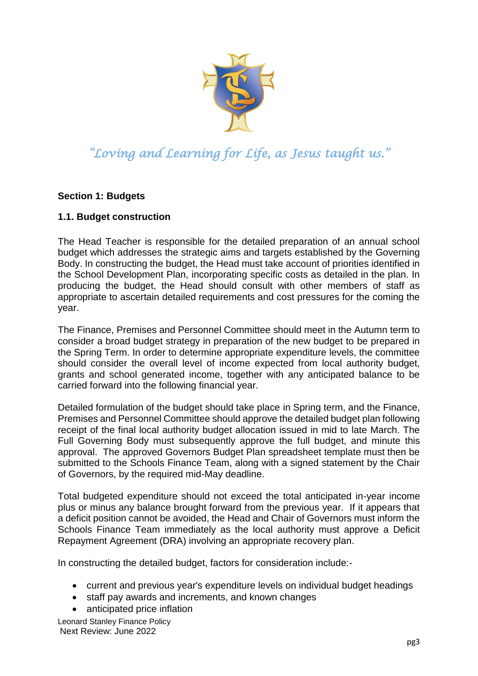

#### **Section 1: Budgets**

#### <span id="page-2-0"></span>**1.1. Budget construction**

The Head Teacher is responsible for the detailed preparation of an annual school budget which addresses the strategic aims and targets established by the Governing Body. In constructing the budget, the Head must take account of priorities identified in the School Development Plan, incorporating specific costs as detailed in the plan. In producing the budget, the Head should consult with other members of staff as appropriate to ascertain detailed requirements and cost pressures for the coming the year.

The Finance, Premises and Personnel Committee should meet in the Autumn term to consider a broad budget strategy in preparation of the new budget to be prepared in the Spring Term. In order to determine appropriate expenditure levels, the committee should consider the overall level of income expected from local authority budget, grants and school generated income, together with any anticipated balance to be carried forward into the following financial year.

Detailed formulation of the budget should take place in Spring term, and the Finance, Premises and Personnel Committee should approve the detailed budget plan following receipt of the final local authority budget allocation issued in mid to late March. The Full Governing Body must subsequently approve the full budget, and minute this approval. The approved Governors Budget Plan spreadsheet template must then be submitted to the Schools Finance Team, along with a signed statement by the Chair of Governors, by the required mid-May deadline.

Total budgeted expenditure should not exceed the total anticipated in-year income plus or minus any balance brought forward from the previous year. If it appears that a deficit position cannot be avoided, the Head and Chair of Governors must inform the Schools Finance Team immediately as the local authority must approve a Deficit Repayment Agreement (DRA) involving an appropriate recovery plan.

In constructing the detailed budget, factors for consideration include:-

- current and previous year's expenditure levels on individual budget headings
- staff pay awards and increments, and known changes
- anticipated price inflation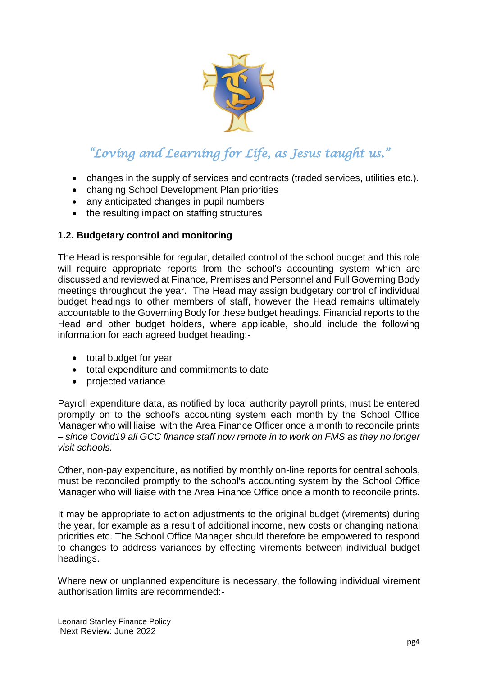

- changes in the supply of services and contracts (traded services, utilities etc.).
- changing School Development Plan priorities
- any anticipated changes in pupil numbers
- the resulting impact on staffing structures

#### <span id="page-3-0"></span>**1.2. Budgetary control and monitoring**

The Head is responsible for regular, detailed control of the school budget and this role will require appropriate reports from the school's accounting system which are discussed and reviewed at Finance, Premises and Personnel and Full Governing Body meetings throughout the year. The Head may assign budgetary control of individual budget headings to other members of staff, however the Head remains ultimately accountable to the Governing Body for these budget headings. Financial reports to the Head and other budget holders, where applicable, should include the following information for each agreed budget heading:-

- total budget for year
- total expenditure and commitments to date
- projected variance

Payroll expenditure data, as notified by local authority payroll prints, must be entered promptly on to the school's accounting system each month by the School Office Manager who will liaise with the Area Finance Officer once a month to reconcile prints – *since Covid19 all GCC finance staff now remote in to work on FMS as they no longer visit schools.*

Other, non-pay expenditure, as notified by monthly on-line reports for central schools, must be reconciled promptly to the school's accounting system by the School Office Manager who will liaise with the Area Finance Office once a month to reconcile prints.

It may be appropriate to action adjustments to the original budget (virements) during the year, for example as a result of additional income, new costs or changing national priorities etc. The School Office Manager should therefore be empowered to respond to changes to address variances by effecting virements between individual budget headings.

Where new or unplanned expenditure is necessary, the following individual virement authorisation limits are recommended:-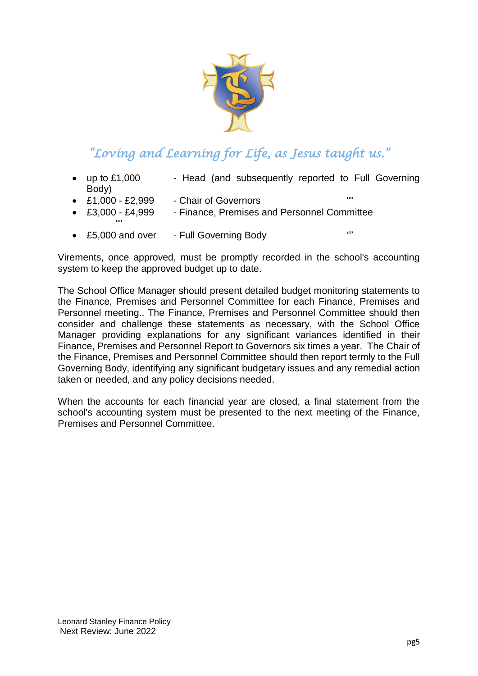

- up to £1,000 Head (and subsequently reported to Full Governing Body)
- $\cdot$  £1,000 £2,999  $\cdot$  Chair of Governors
	-
- £3,000 £4,999 Finance, Premises and Personnel Committee ""
- £5,000 and over Full Governing Body ""

Virements, once approved, must be promptly recorded in the school's accounting system to keep the approved budget up to date.

The School Office Manager should present detailed budget monitoring statements to the Finance, Premises and Personnel Committee for each Finance, Premises and Personnel meeting.. The Finance, Premises and Personnel Committee should then consider and challenge these statements as necessary, with the School Office Manager providing explanations for any significant variances identified in their Finance, Premises and Personnel Report to Governors six times a year. The Chair of the Finance, Premises and Personnel Committee should then report termly to the Full Governing Body, identifying any significant budgetary issues and any remedial action taken or needed, and any policy decisions needed.

When the accounts for each financial year are closed, a final statement from the school's accounting system must be presented to the next meeting of the Finance, Premises and Personnel Committee.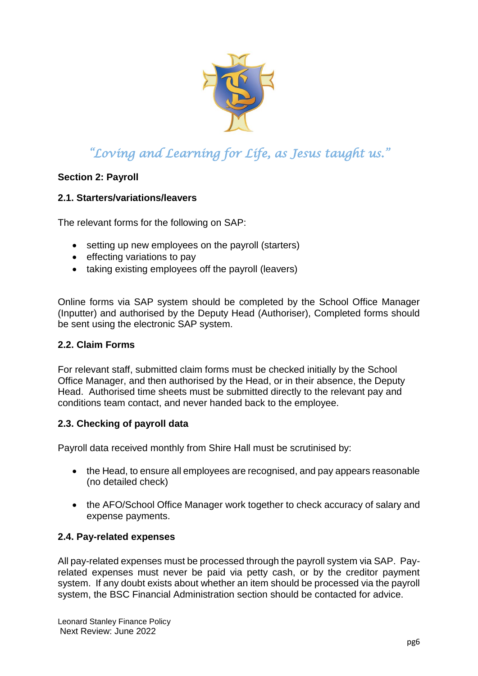

#### **Section 2: Payroll**

#### <span id="page-5-0"></span>**2.1. Starters/variations/leavers**

The relevant forms for the following on SAP:

- setting up new employees on the payroll (starters)
- effecting variations to pay
- taking existing employees off the payroll (leavers)

Online forms via SAP system should be completed by the School Office Manager (Inputter) and authorised by the Deputy Head (Authoriser), Completed forms should be sent using the electronic SAP system.

#### <span id="page-5-1"></span>**2.2. Claim Forms**

For relevant staff, submitted claim forms must be checked initially by the School Office Manager, and then authorised by the Head, or in their absence, the Deputy Head. Authorised time sheets must be submitted directly to the relevant pay and conditions team contact, and never handed back to the employee.

#### <span id="page-5-2"></span>**2.3. Checking of payroll data**

Payroll data received monthly from Shire Hall must be scrutinised by:

- the Head, to ensure all employees are recognised, and pay appears reasonable (no detailed check)
- the AFO/School Office Manager work together to check accuracy of salary and expense payments.

#### <span id="page-5-3"></span>**2.4. Pay-related expenses**

All pay-related expenses must be processed through the payroll system via SAP. Payrelated expenses must never be paid via petty cash, or by the creditor payment system. If any doubt exists about whether an item should be processed via the payroll system, the BSC Financial Administration section should be contacted for advice.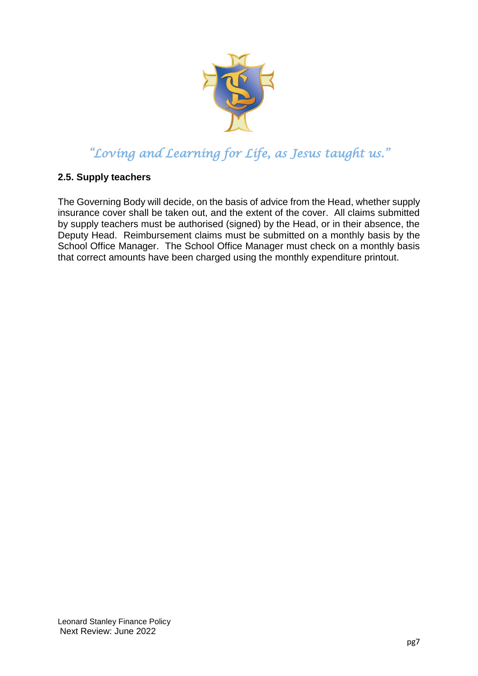

#### <span id="page-6-0"></span>**2.5. Supply teachers**

The Governing Body will decide, on the basis of advice from the Head, whether supply insurance cover shall be taken out, and the extent of the cover. All claims submitted by supply teachers must be authorised (signed) by the Head, or in their absence, the Deputy Head. Reimbursement claims must be submitted on a monthly basis by the School Office Manager. The School Office Manager must check on a monthly basis that correct amounts have been charged using the monthly expenditure printout.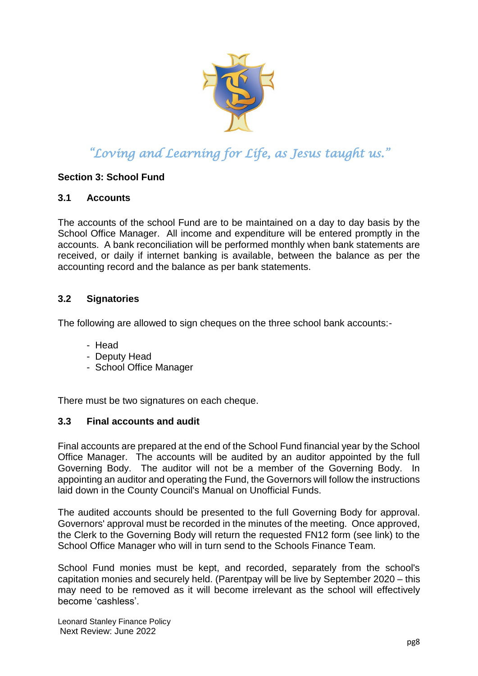

#### **Section 3: School Fund**

#### <span id="page-7-0"></span>**3.1 Accounts**

The accounts of the school Fund are to be maintained on a day to day basis by the School Office Manager. All income and expenditure will be entered promptly in the accounts. A bank reconciliation will be performed monthly when bank statements are received, or daily if internet banking is available, between the balance as per the accounting record and the balance as per bank statements.

#### <span id="page-7-1"></span>**3.2 Signatories**

The following are allowed to sign cheques on the three school bank accounts:-

- Head
- Deputy Head
- School Office Manager

There must be two signatures on each cheque.

#### <span id="page-7-2"></span>**3.3 Final accounts and audit**

Final accounts are prepared at the end of the School Fund financial year by the School Office Manager. The accounts will be audited by an auditor appointed by the full Governing Body. The auditor will not be a member of the Governing Body. In appointing an auditor and operating the Fund, the Governors will follow the instructions laid down in the County Council's Manual on Unofficial Funds.

The audited accounts should be presented to the full Governing Body for approval. Governors' approval must be recorded in the minutes of the meeting. Once approved, the Clerk to the Governing Body will return the requested FN12 form (see link) to the School Office Manager who will in turn send to the Schools Finance Team.

School Fund monies must be kept, and recorded, separately from the school's capitation monies and securely held. (Parentpay will be live by September 2020 – this may need to be removed as it will become irrelevant as the school will effectively become 'cashless'.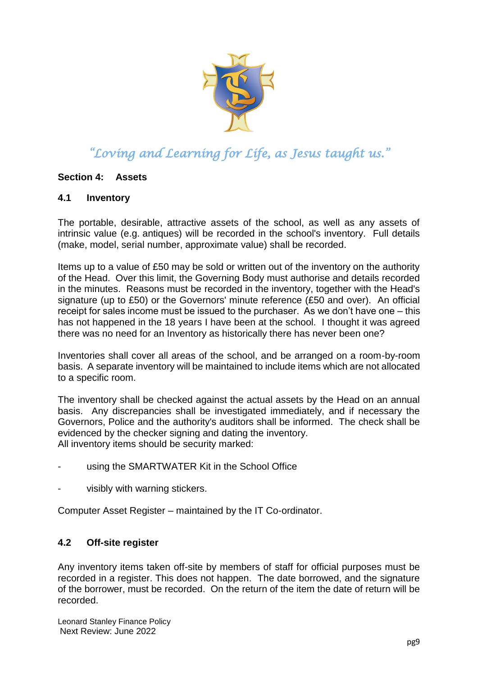

#### **Section 4: Assets**

#### <span id="page-8-0"></span>**4.1 Inventory**

The portable, desirable, attractive assets of the school, as well as any assets of intrinsic value (e.g. antiques) will be recorded in the school's inventory. Full details (make, model, serial number, approximate value) shall be recorded.

Items up to a value of £50 may be sold or written out of the inventory on the authority of the Head. Over this limit, the Governing Body must authorise and details recorded in the minutes. Reasons must be recorded in the inventory, together with the Head's signature (up to £50) or the Governors' minute reference (£50 and over). An official receipt for sales income must be issued to the purchaser. As we don't have one – this has not happened in the 18 years I have been at the school. I thought it was agreed there was no need for an Inventory as historically there has never been one?

Inventories shall cover all areas of the school, and be arranged on a room-by-room basis. A separate inventory will be maintained to include items which are not allocated to a specific room.

The inventory shall be checked against the actual assets by the Head on an annual basis. Any discrepancies shall be investigated immediately, and if necessary the Governors, Police and the authority's auditors shall be informed. The check shall be evidenced by the checker signing and dating the inventory. All inventory items should be security marked:

- using the SMARTWATER Kit in the School Office
- visibly with warning stickers.

Computer Asset Register – maintained by the IT Co-ordinator.

#### <span id="page-8-1"></span>**4.2 Off-site register**

Any inventory items taken off-site by members of staff for official purposes must be recorded in a register. This does not happen. The date borrowed, and the signature of the borrower, must be recorded. On the return of the item the date of return will be recorded.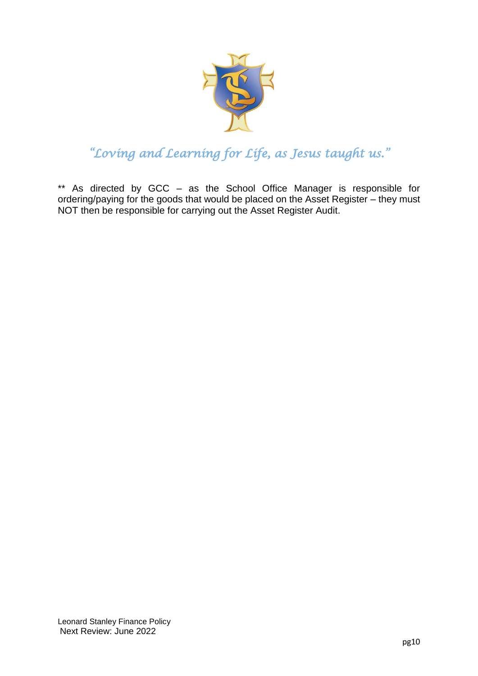

\*\* As directed by GCC – as the School Office Manager is responsible for ordering/paying for the goods that would be placed on the Asset Register – they must NOT then be responsible for carrying out the Asset Register Audit.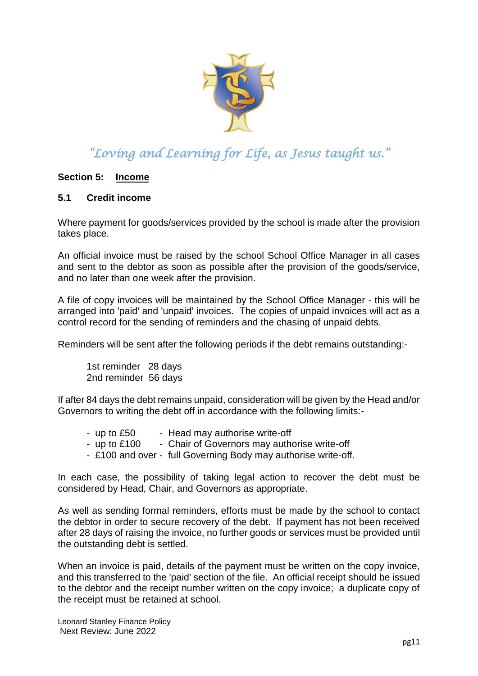

#### **Section 5: Income**

#### <span id="page-10-0"></span>**5.1 Credit income**

Where payment for goods/services provided by the school is made after the provision takes place.

An official invoice must be raised by the school School Office Manager in all cases and sent to the debtor as soon as possible after the provision of the goods/service, and no later than one week after the provision.

A file of copy invoices will be maintained by the School Office Manager - this will be arranged into 'paid' and 'unpaid' invoices. The copies of unpaid invoices will act as a control record for the sending of reminders and the chasing of unpaid debts.

Reminders will be sent after the following periods if the debt remains outstanding:-

1st reminder 28 days 2nd reminder 56 days

If after 84 days the debt remains unpaid, consideration will be given by the Head and/or Governors to writing the debt off in accordance with the following limits:-

- up to £50 Head may authorise write-off
- up to £100 Chair of Governors may authorise write-off
- £100 and over full Governing Body may authorise write-off.

In each case, the possibility of taking legal action to recover the debt must be considered by Head, Chair, and Governors as appropriate.

As well as sending formal reminders, efforts must be made by the school to contact the debtor in order to secure recovery of the debt. If payment has not been received after 28 days of raising the invoice, no further goods or services must be provided until the outstanding debt is settled.

When an invoice is paid, details of the payment must be written on the copy invoice, and this transferred to the 'paid' section of the file. An official receipt should be issued to the debtor and the receipt number written on the copy invoice; a duplicate copy of the receipt must be retained at school.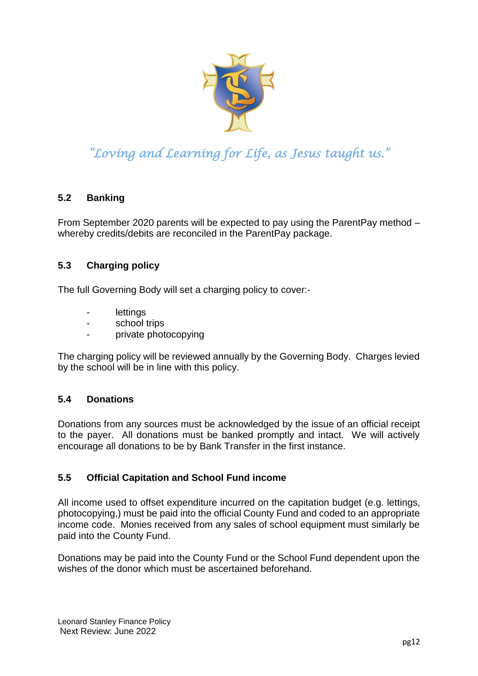

#### <span id="page-11-1"></span><span id="page-11-0"></span>**5.2 Banking**

From September 2020 parents will be expected to pay using the ParentPay method – whereby credits/debits are reconciled in the ParentPay package.

#### <span id="page-11-2"></span>**5.3 Charging policy**

The full Governing Body will set a charging policy to cover:-

- lettings
- school trips
- private photocopying

The charging policy will be reviewed annually by the Governing Body. Charges levied by the school will be in line with this policy.

#### <span id="page-11-3"></span>**5.4 Donations**

Donations from any sources must be acknowledged by the issue of an official receipt to the payer. All donations must be banked promptly and intact. We will actively encourage all donations to be by Bank Transfer in the first instance.

#### <span id="page-11-4"></span>**5.5 Official Capitation and School Fund income**

All income used to offset expenditure incurred on the capitation budget (e.g. lettings, photocopying,) must be paid into the official County Fund and coded to an appropriate income code. Monies received from any sales of school equipment must similarly be paid into the County Fund.

Donations may be paid into the County Fund or the School Fund dependent upon the wishes of the donor which must be ascertained beforehand.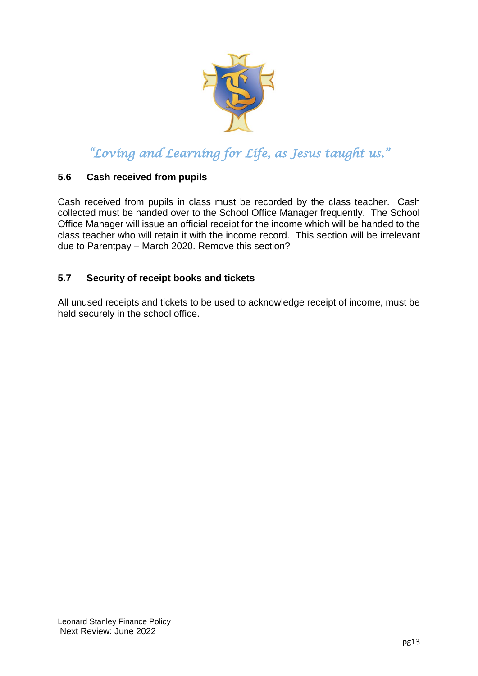

#### <span id="page-12-0"></span>**5.6 Cash received from pupils**

Cash received from pupils in class must be recorded by the class teacher. Cash collected must be handed over to the School Office Manager frequently. The School Office Manager will issue an official receipt for the income which will be handed to the class teacher who will retain it with the income record. This section will be irrelevant due to Parentpay – March 2020. Remove this section?

#### <span id="page-12-1"></span>**5.7 Security of receipt books and tickets**

All unused receipts and tickets to be used to acknowledge receipt of income, must be held securely in the school office.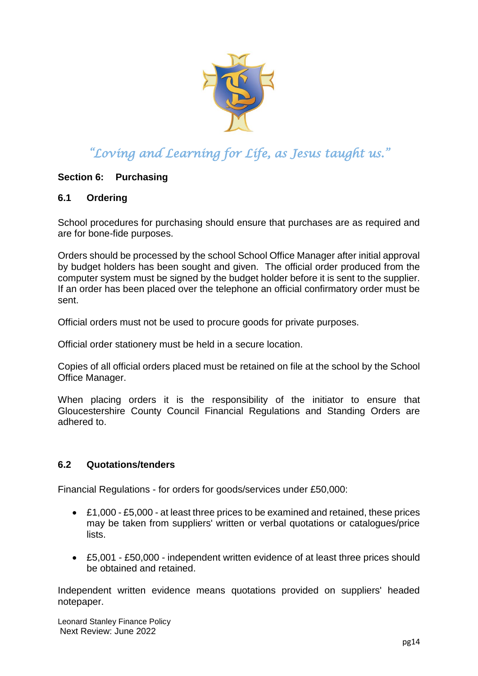

#### **Section 6: Purchasing**

#### <span id="page-13-0"></span>**6.1 Ordering**

School procedures for purchasing should ensure that purchases are as required and are for bone-fide purposes.

Orders should be processed by the school School Office Manager after initial approval by budget holders has been sought and given. The official order produced from the computer system must be signed by the budget holder before it is sent to the supplier. If an order has been placed over the telephone an official confirmatory order must be sent.

Official orders must not be used to procure goods for private purposes.

Official order stationery must be held in a secure location.

Copies of all official orders placed must be retained on file at the school by the School Office Manager.

When placing orders it is the responsibility of the initiator to ensure that Gloucestershire County Council Financial Regulations and Standing Orders are adhered to.

#### <span id="page-13-1"></span>**6.2 Quotations/tenders**

Financial Regulations - for orders for goods/services under £50,000:

- £1,000 £5,000 at least three prices to be examined and retained, these prices may be taken from suppliers' written or verbal quotations or catalogues/price lists.
- £5,001 £50,000 independent written evidence of at least three prices should be obtained and retained.

Independent written evidence means quotations provided on suppliers' headed notepaper.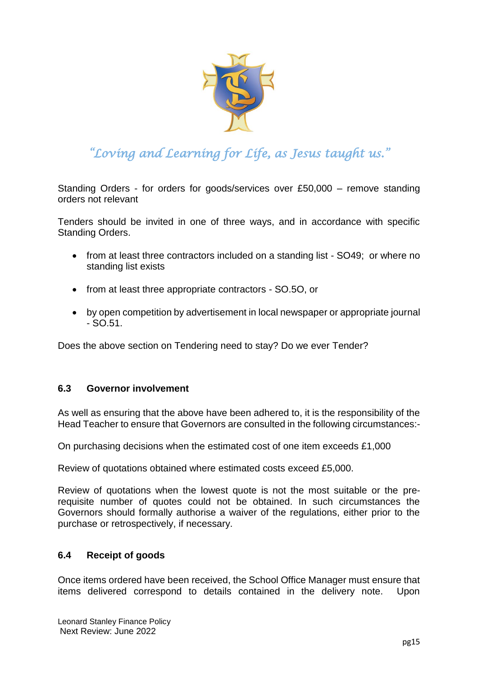

Standing Orders - for orders for goods/services over £50,000 – remove standing orders not relevant

Tenders should be invited in one of three ways, and in accordance with specific Standing Orders.

- from at least three contractors included on a standing list SO49; or where no standing list exists
- from at least three appropriate contractors SO.5O, or
- <span id="page-14-0"></span> by open competition by advertisement in local newspaper or appropriate journal - SO.51.

Does the above section on Tendering need to stay? Do we ever Tender?

#### **6.3 Governor involvement**

As well as ensuring that the above have been adhered to, it is the responsibility of the Head Teacher to ensure that Governors are consulted in the following circumstances:-

On purchasing decisions when the estimated cost of one item exceeds £1,000

Review of quotations obtained where estimated costs exceed £5,000.

Review of quotations when the lowest quote is not the most suitable or the prerequisite number of quotes could not be obtained. In such circumstances the Governors should formally authorise a waiver of the regulations, either prior to the purchase or retrospectively, if necessary.

#### <span id="page-14-1"></span>**6.4 Receipt of goods**

Once items ordered have been received, the School Office Manager must ensure that items delivered correspond to details contained in the delivery note. Upon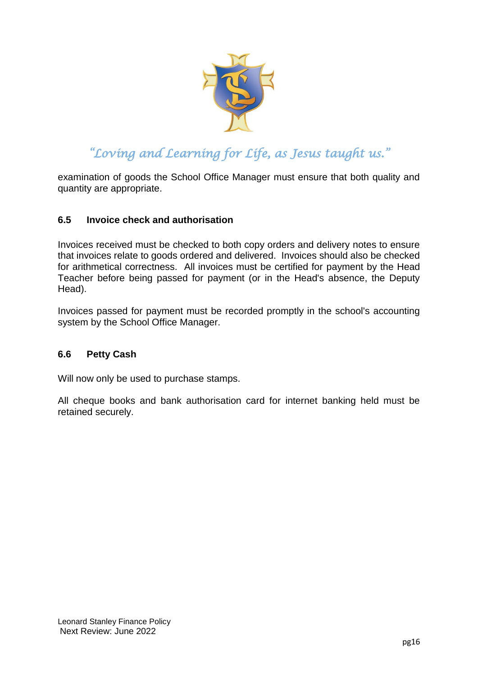

examination of goods the School Office Manager must ensure that both quality and quantity are appropriate.

#### <span id="page-15-0"></span>**6.5 Invoice check and authorisation**

Invoices received must be checked to both copy orders and delivery notes to ensure that invoices relate to goods ordered and delivered. Invoices should also be checked for arithmetical correctness. All invoices must be certified for payment by the Head Teacher before being passed for payment (or in the Head's absence, the Deputy Head).

Invoices passed for payment must be recorded promptly in the school's accounting system by the School Office Manager.

#### <span id="page-15-1"></span>**6.6 Petty Cash**

Will now only be used to purchase stamps.

All cheque books and bank authorisation card for internet banking held must be retained securely.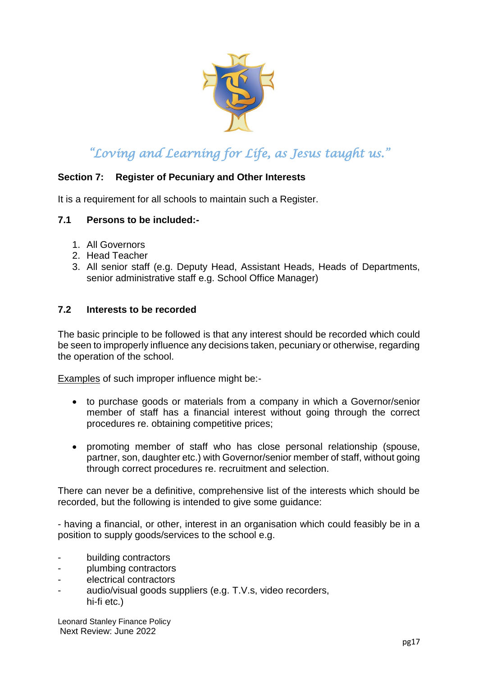<span id="page-16-0"></span>

#### **Section 7: Register of Pecuniary and Other Interests**

It is a requirement for all schools to maintain such a Register.

#### **7.1 Persons to be included:-**

- 1. All Governors
- 2. Head Teacher
- 3. All senior staff (e.g. Deputy Head, Assistant Heads, Heads of Departments, senior administrative staff e.g. School Office Manager)

#### <span id="page-16-1"></span>**7.2 Interests to be recorded**

The basic principle to be followed is that any interest should be recorded which could be seen to improperly influence any decisions taken, pecuniary or otherwise, regarding the operation of the school.

Examples of such improper influence might be:-

- to purchase goods or materials from a company in which a Governor/senior member of staff has a financial interest without going through the correct procedures re. obtaining competitive prices;
- promoting member of staff who has close personal relationship (spouse, partner, son, daughter etc.) with Governor/senior member of staff, without going through correct procedures re. recruitment and selection.

There can never be a definitive, comprehensive list of the interests which should be recorded, but the following is intended to give some guidance:

- having a financial, or other, interest in an organisation which could feasibly be in a position to supply goods/services to the school e.g.

- building contractors
- plumbing contractors
- electrical contractors
- audio/visual goods suppliers (e.g. T.V.s, video recorders, hi-fi etc.)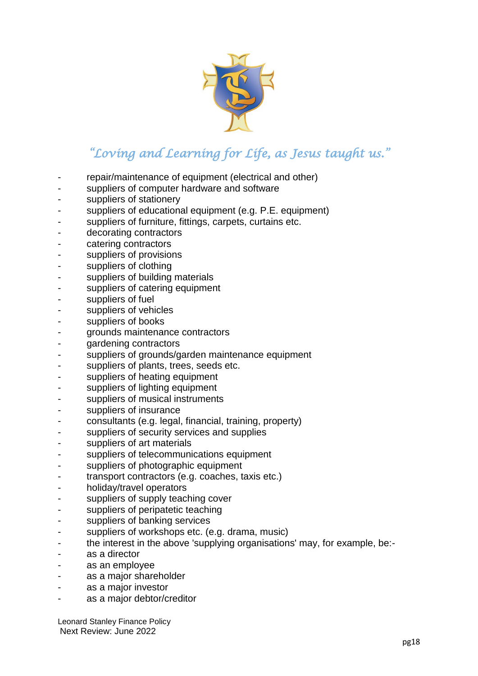

- repair/maintenance of equipment (electrical and other)
- suppliers of computer hardware and software
- suppliers of stationery
- suppliers of educational equipment (e.g. P.E. equipment)
- suppliers of furniture, fittings, carpets, curtains etc.
- decorating contractors
- catering contractors
- suppliers of provisions
- suppliers of clothing
- suppliers of building materials
- suppliers of catering equipment
- suppliers of fuel
- suppliers of vehicles
- suppliers of books
- grounds maintenance contractors
- gardening contractors
- suppliers of grounds/garden maintenance equipment
- suppliers of plants, trees, seeds etc.
- suppliers of heating equipment
- suppliers of lighting equipment
- suppliers of musical instruments
- suppliers of insurance
- consultants (e.g. legal, financial, training, property)
- suppliers of security services and supplies
- suppliers of art materials
- suppliers of telecommunications equipment
- suppliers of photographic equipment
- transport contractors (e.g. coaches, taxis etc.)
- holiday/travel operators
- suppliers of supply teaching cover
- suppliers of peripatetic teaching
- suppliers of banking services
- suppliers of workshops etc. (e.g. drama, music)
- the interest in the above 'supplying organisations' may, for example, be:-
- as a director
- as an employee
- as a major shareholder
- as a major investor
- as a major debtor/creditor